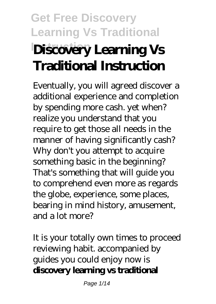# **Get Free Discovery Learning Vs Traditional Instruction Discovery Learning Vs Traditional Instruction**

Eventually, you will agreed discover a additional experience and completion by spending more cash. yet when? realize you understand that you require to get those all needs in the manner of having significantly cash? Why don't you attempt to acquire something basic in the beginning? That's something that will guide you to comprehend even more as regards the globe, experience, some places, bearing in mind history, amusement, and a lot more?

It is your totally own times to proceed reviewing habit. accompanied by guides you could enjoy now is **discovery learning vs traditional**

Page 1/14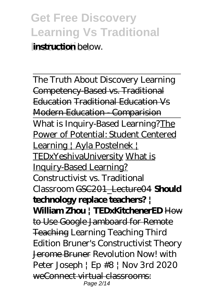The Truth About Discovery Learning Competency-Based vs. Traditional Education Traditional Education Vs Modern Education - Comparision What is Inquiry-Based Learning?The Power of Potential: Student Centered Learning | Ayla Postelnek | TEDxYeshivaUniversity What is Inquiry-Based Learning? Constructivist vs. Traditional Classroom GSC201\_Lecture04 **Should technology replace teachers? | William Zhou | TEDxKitchenerED** How to Use Google Jamboard for Remote Teaching *Learning Teaching Third Edition* Bruner's Constructivist Theory Jerome Bruner Revolution Now! with Peter Joseph | Ep #8 | Nov 3rd 2020 weConnect virtual classrooms: Page 2/14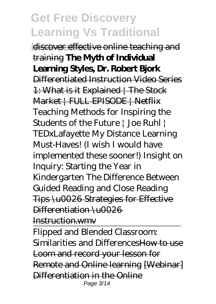discover effective online teaching and training **The Myth of Individual Learning Styles, Dr. Robert Bjork** Differentiated Instruction Video Series 1: What is it Explained | The Stock Market | FULL EPISODE | Netflix *Teaching Methods for Inspiring the Students of the Future | Joe Ruhl | TEDxLafayette My Distance Learning Must-Haves! (I wish I would have implemented these sooner!) Insight on Inquiry: Starting the Year in Kindergarten The Difference Between Guided Reading and Close Reading* Tips \u0026 Strategies for Effective Differentiation \u0026

Instruction.wmv

Flipped and Blended Classroom: Similarities and DifferencesHow to use Loom and record your lesson for Remote and Online learning [Webinar] Differentiation in the Online Page 3/14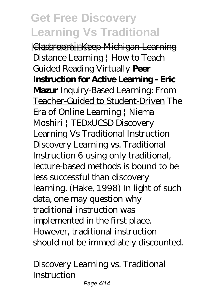**Instruction** Classroom | Keep Michigan Learning *Distance Learning | How to Teach Guided Reading Virtually* **Peer Instruction for Active Learning - Eric Mazur** Inquiry-Based Learning: From Teacher-Guided to Student-Driven *The Era of Online Learning | Niema Moshiri | TEDxUCSD* Discovery Learning Vs Traditional Instruction Discovery Learning vs. Traditional Instruction 6 using only traditional, lecture-based methods is bound to be less successful than discovery learning. (Hake, 1998) In light of such data, one may question why traditional instruction was implemented in the first place. However, traditional instruction should not be immediately discounted.

Discovery Learning vs. Traditional **Instruction**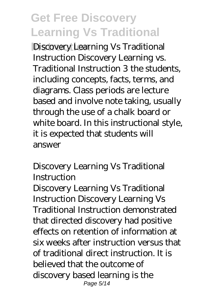**Discovery Learning Vs Traditional** Instruction Discovery Learning vs. Traditional Instruction 3 the students, including concepts, facts, terms, and diagrams. Class periods are lecture based and involve note taking, usually through the use of a chalk board or white board. In this instructional style, it is expected that students will answer

Discovery Learning Vs Traditional **Instruction** 

Discovery Learning Vs Traditional Instruction Discovery Learning Vs Traditional Instruction demonstrated that directed discovery had positive effects on retention of information at six weeks after instruction versus that of traditional direct instruction. It is believed that the outcome of discovery based learning is the Page 5/14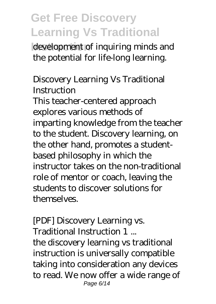development of inquiring minds and the potential for life-long learning.

Discovery Learning Vs Traditional **Instruction** 

This teacher-centered approach explores various methods of imparting knowledge from the teacher to the student. Discovery learning, on the other hand, promotes a studentbased philosophy in which the instructor takes on the non-traditional role of mentor or coach, leaving the students to discover solutions for themselves.

[PDF] Discovery Learning vs. Traditional Instruction 1 ... the discovery learning vs traditional instruction is universally compatible taking into consideration any devices to read. We now offer a wide range of Page 6/14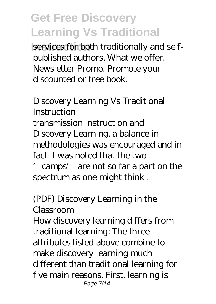services for both traditionally and selfpublished authors. What we offer. Newsletter Promo. Promote your discounted or free book.

Discovery Learning Vs Traditional **Instruction** transmission instruction and Discovery Learning, a balance in methodologies was encouraged and in fact it was noted that the two

'camps' are not so far a part on the spectrum as one might think .

#### (PDF) Discovery Learning in the Classroom

How discovery learning differs from traditional learning: The three attributes listed above combine to make discovery learning much different than traditional learning for five main reasons. First, learning is Page 7/14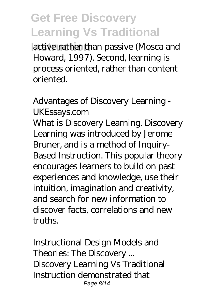**Instruction** active rather than passive (Mosca and Howard, 1997). Second, learning is process oriented, rather than content oriented.

Advantages of Discovery Learning - UKEssays.com What is Discovery Learning. Discovery Learning was introduced by Jerome Bruner, and is a method of Inquiry-Based Instruction. This popular theory encourages learners to build on past experiences and knowledge, use their intuition, imagination and creativity, and search for new information to discover facts, correlations and new truths.

Instructional Design Models and Theories: The Discovery ... Discovery Learning Vs Traditional Instruction demonstrated that Page 8/14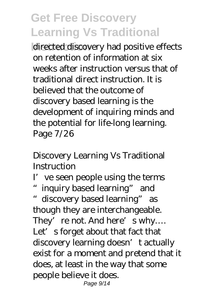directed discovery had positive effects on retention of information at six weeks after instruction versus that of traditional direct instruction. It is believed that the outcome of discovery based learning is the development of inquiring minds and the potential for life-long learning. Page 7/26

Discovery Learning Vs Traditional **Instruction** 

I've seen people using the terms

"inquiry based learning" and "discovery based learning" as though they are interchangeable. They're not. And here's why.... Let's forget about that fact that discovery learning doesn't actually exist for a moment and pretend that it does, at least in the way that some people believe it does. Page 9/14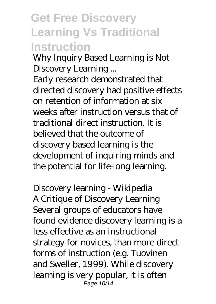Why Inquiry Based Learning is Not Discovery Learning ...

Early research demonstrated that directed discovery had positive effects on retention of information at six weeks after instruction versus that of traditional direct instruction. It is believed that the outcome of discovery based learning is the development of inquiring minds and the potential for life-long learning.

Discovery learning - Wikipedia A Critique of Discovery Learning Several groups of educators have found evidence discovery learning is a less effective as an instructional strategy for novices, than more direct forms of instruction (e.g. Tuovinen and Sweller, 1999). While discovery learning is very popular, it is often Page 10/14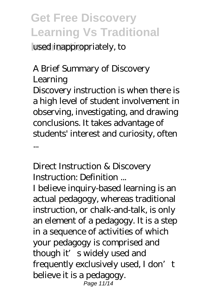used inappropriately, to

A Brief Summary of Discovery Learning Discovery instruction is when there is a high level of student involvement in observing, investigating, and drawing conclusions. It takes advantage of students' interest and curiosity, often

...

Direct Instruction & Discovery Instruction: Definition ...

I believe inquiry-based learning is an actual pedagogy, whereas traditional instruction, or chalk-and-talk, is only an element of a pedagogy. It is a step in a sequence of activities of which your pedagogy is comprised and though it's widely used and frequently exclusively used, I don't believe it is a pedagogy. Page 11/14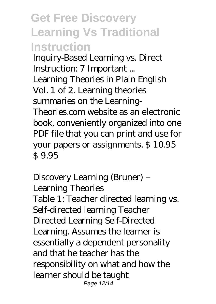Inquiry-Based Learning vs. Direct Instruction: 7 Important ... Learning Theories in Plain English Vol. 1 of 2. Learning theories summaries on the Learning-Theories.com website as an electronic book, conveniently organized into one PDF file that you can print and use for your papers or assignments. \$ 10.95 \$ 9.95

Discovery Learning (Bruner) – Learning Theories Table 1: Teacher directed learning vs. Self-directed learning Teacher Directed Learning Self-Directed Learning. Assumes the learner is essentially a dependent personality and that he teacher has the responsibility on what and how the learner should be taught Page 12/14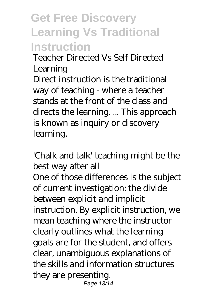Teacher Directed Vs Self Directed Learning

Direct instruction is the traditional way of teaching - where a teacher stands at the front of the class and directs the learning. ... This approach is known as inquiry or discovery learning.

'Chalk and talk' teaching might be the best way after all One of those differences is the subject of current investigation: the divide between explicit and implicit instruction. By explicit instruction, we mean teaching where the instructor clearly outlines what the learning goals are for the student, and offers clear, unambiguous explanations of the skills and information structures they are presenting. Page 13/14